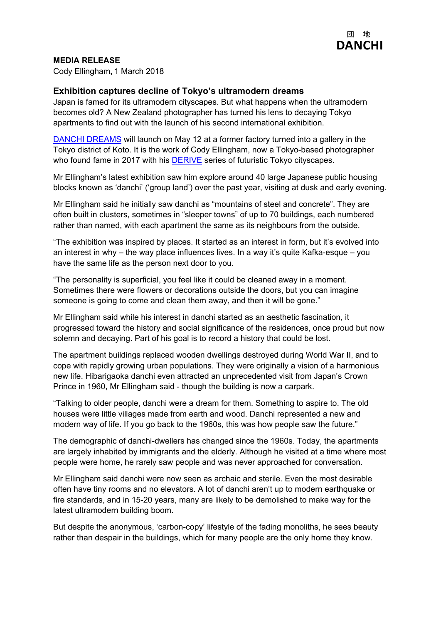

## **MEDIA RELEASE**

Cody Ellingham**,** 1 March 2018

## **Exhibition captures decline of Tokyo's ultramodern dreams**

Japan is famed for its ultramodern cityscapes. But what happens when the ultramodern becomes old? A New Zealand photographer has turned his lens to decaying Tokyo apartments to find out with the launch of his second international exhibition.

[DANCHI D](http://www.danchi-dreams.com/)REAMS will launch on May 12 at a former factory turned into a gallery in the Tokyo district of Koto. It is the work of Cody Ellingham, now a Tokyo-based photographer who found fame in 2017 with his [DERIVE](http://www.derive.tokyo/) series of futuristic Tokyo cityscapes.

Mr Ellingham's latest exhibition saw him explore around 40 large Japanese public housing blocks known as 'danchi' ('group land') over the past year, visiting at dusk and early evening.

Mr Ellingham said he initially saw danchi as "mountains of steel and concrete". They are often built in clusters, sometimes in "sleeper towns" of up to 70 buildings, each numbered rather than named, with each apartment the same as its neighbours from the outside.

"The exhibition was inspired by places. It started as an interest in form, but it's evolved into an interest in why – the way place influences lives. In a way it's quite Kafka-esque – you have the same life as the person next door to you.

"The personality is superficial, you feel like it could be cleaned away in a moment. Sometimes there were flowers or decorations outside the doors, but you can imagine someone is going to come and clean them away, and then it will be gone."

Mr Ellingham said while his interest in danchi started as an aesthetic fascination, it progressed toward the history and social significance of the residences, once proud but now solemn and decaying. Part of his goal is to record a history that could be lost.

The apartment buildings replaced wooden dwellings destroyed during World War II, and to cope with rapidly growing urban populations. They were originally a vision of a harmonious new life. Hibarigaoka danchi even attracted an unprecedented visit from Japan's Crown Prince in 1960, Mr Ellingham said - though the building is now a carpark.

"Talking to older people, danchi were a dream for them. Something to aspire to. The old houses were little villages made from earth and wood. Danchi represented a new and modern way of life. If you go back to the 1960s, this was how people saw the future."

The demographic of danchi-dwellers has changed since the 1960s. Today, the apartments are largely inhabited by immigrants and the elderly. Although he visited at a time where most people were home, he rarely saw people and was never approached for conversation.

Mr Ellingham said danchi were now seen as archaic and sterile. Even the most desirable often have tiny rooms and no elevators. A lot of danchi aren't up to modern earthquake or fire standards, and in 15-20 years, many are likely to be demolished to make way for the latest ultramodern building boom.

But despite the anonymous, 'carbon-copy' lifestyle of the fading monoliths, he sees beauty rather than despair in the buildings, which for many people are the only home they know.